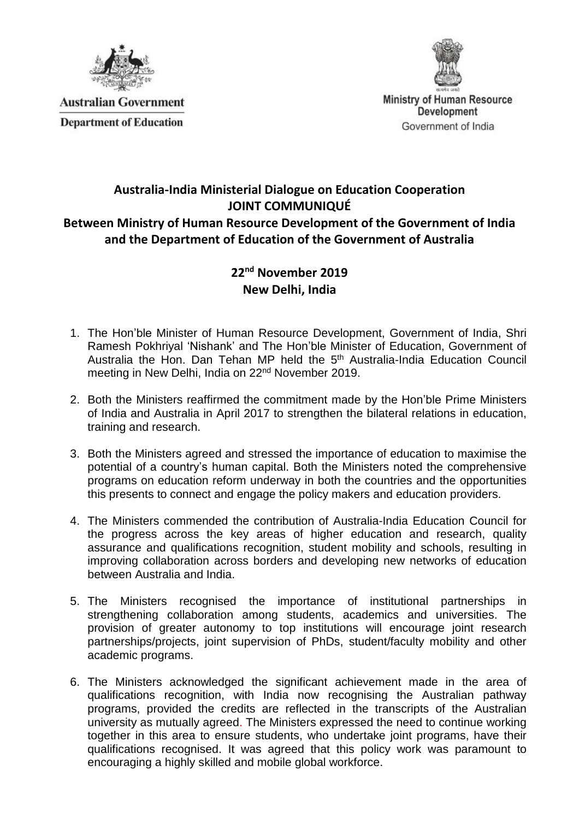

**Australian Government Department of Education** 



**Ministry of Human Resource Development** Government of India

## **Australia-India Ministerial Dialogue on Education Cooperation JOINT COMMUNIQUÉ Between Ministry of Human Resource Development of the Government of India and the Department of Education of the Government of Australia**

## **22nd November 2019 New Delhi, India**

- 1. The Hon'ble Minister of Human Resource Development, Government of India, Shri Ramesh Pokhriyal 'Nishank' and The Hon'ble Minister of Education, Government of Australia the Hon. Dan Tehan MP held the 5<sup>th</sup> Australia-India Education Council meeting in New Delhi, India on 22nd November 2019.
- 2. Both the Ministers reaffirmed the commitment made by the Hon'ble Prime Ministers of India and Australia in April 2017 to strengthen the bilateral relations in education, training and research.
- 3. Both the Ministers agreed and stressed the importance of education to maximise the potential of a country's human capital. Both the Ministers noted the comprehensive programs on education reform underway in both the countries and the opportunities this presents to connect and engage the policy makers and education providers.
- 4. The Ministers commended the contribution of Australia-India Education Council for the progress across the key areas of higher education and research, quality assurance and qualifications recognition, student mobility and schools, resulting in improving collaboration across borders and developing new networks of education between Australia and India.
- 5. The Ministers recognised the importance of institutional partnerships in strengthening collaboration among students, academics and universities. The provision of greater autonomy to top institutions will encourage joint research partnerships/projects, joint supervision of PhDs, student/faculty mobility and other academic programs.
- 6. The Ministers acknowledged the significant achievement made in the area of qualifications recognition, with India now recognising the Australian pathway programs, provided the credits are reflected in the transcripts of the Australian university as mutually agreed. The Ministers expressed the need to continue working together in this area to ensure students, who undertake joint programs, have their qualifications recognised. It was agreed that this policy work was paramount to encouraging a highly skilled and mobile global workforce.